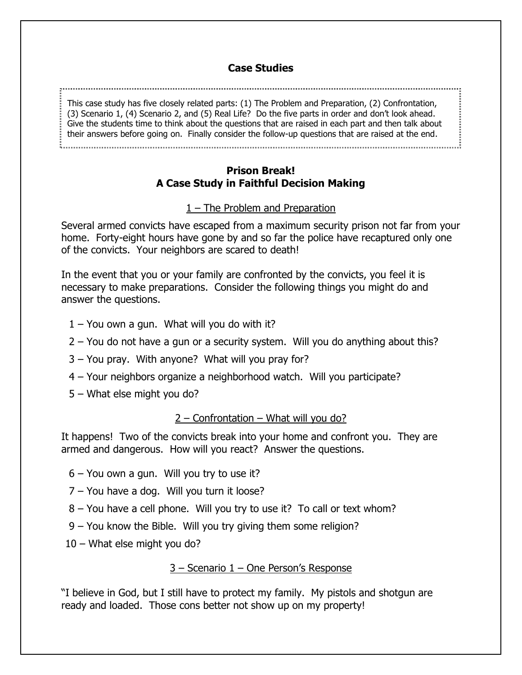## **Case Studies**

This case study has five closely related parts: (1) The Problem and Preparation, (2) Confrontation, (3) Scenario 1, (4) Scenario 2, and (5) Real Life? Do the five parts in order and don't look ahead. Give the students time to think about the questions that are raised in each part and then talk about their answers before going on. Finally consider the follow-up questions that are raised at the end.

### **Prison Break! A Case Study in Faithful Decision Making**

## 1 – The Problem and Preparation

Several armed convicts have escaped from a maximum security prison not far from your home. Forty-eight hours have gone by and so far the police have recaptured only one of the convicts. Your neighbors are scared to death!

In the event that you or your family are confronted by the convicts, you feel it is necessary to make preparations. Consider the following things you might do and answer the questions.

- $1 -$  You own a gun. What will you do with it?
- 2 You do not have a gun or a security system. Will you do anything about this?
- 3 You pray. With anyone? What will you pray for?
- 4 Your neighbors organize a neighborhood watch. Will you participate?
- 5 What else might you do?

### 2 – Confrontation – What will you do?

It happens! Two of the convicts break into your home and confront you. They are armed and dangerous. How will you react? Answer the questions.

- 6 You own a gun. Will you try to use it?
- 7 You have a dog. Will you turn it loose?
- 8 You have a cell phone. Will you try to use it? To call or text whom?
- 9 You know the Bible. Will you try giving them some religion?
- 10 What else might you do?

3 – Scenario 1 – One Person's Response

"I believe in God, but I still have to protect my family. My pistols and shotgun are ready and loaded. Those cons better not show up on my property!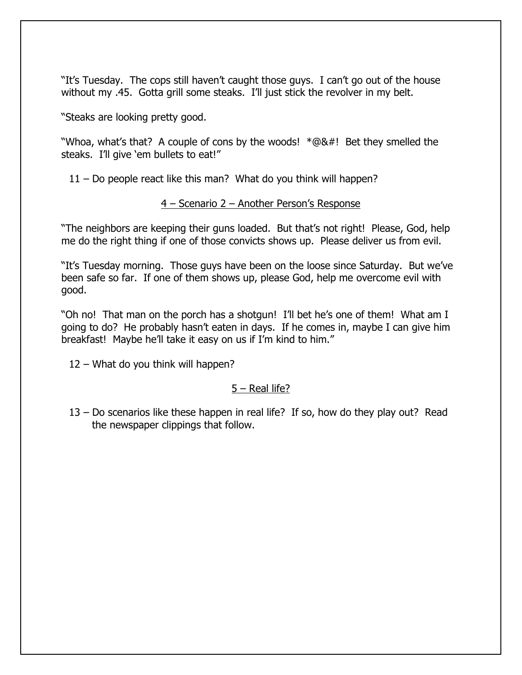"It's Tuesday. The cops still haven't caught those guys. I can't go out of the house without my .45. Gotta grill some steaks. I'll just stick the revolver in my belt.

"Steaks are looking pretty good.

"Whoa, what's that? A couple of cons by the woods! \*@&#! Bet they smelled the steaks. I'll give 'em bullets to eat!"

11 – Do people react like this man? What do you think will happen?

### 4 – Scenario 2 – Another Person's Response

"The neighbors are keeping their guns loaded. But that's not right! Please, God, help me do the right thing if one of those convicts shows up. Please deliver us from evil.

"It's Tuesday morning. Those guys have been on the loose since Saturday. But we've been safe so far. If one of them shows up, please God, help me overcome evil with good.

"Oh no! That man on the porch has a shotgun! I'll bet he's one of them! What am I going to do? He probably hasn't eaten in days. If he comes in, maybe I can give him breakfast! Maybe he'll take it easy on us if I'm kind to him."

12 – What do you think will happen?

### 5 – Real life?

13 – Do scenarios like these happen in real life? If so, how do they play out? Read the newspaper clippings that follow.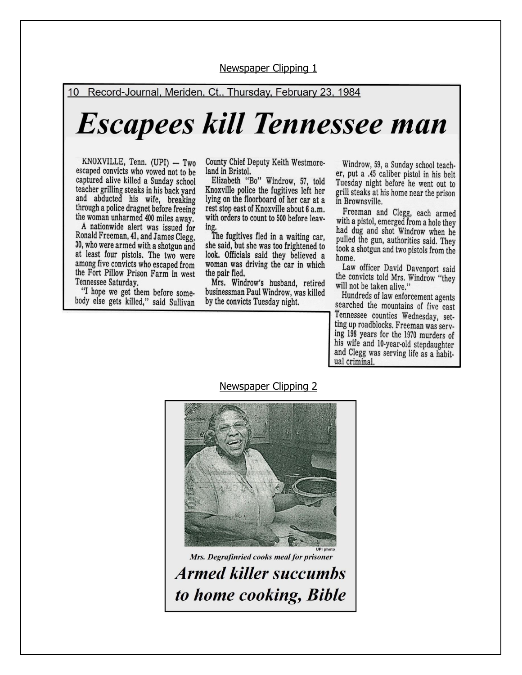10 Record-Journal, Meriden, Ct., Thursday, February 23, 1984

# **Escapees kill Tennessee man**

KNOXVILLE, Tenn. (UPI) - Two escaped convicts who vowed not to be captured alive killed a Sunday school teacher grilling steaks in his back yard<br>and abducted his wife, breaking through a police dragnet before freeing the woman unharmed 400 miles away.

A nationwide alert was issued for Ronald Freeman, 41, and James Clegg, 30, who were armed with a shotgun and at least four pistols. The two were among five convicts who escaped from the Fort Pillow Prison Farm in west Tennessee Saturday.

"I hope we get them before somebody else gets killed," said Sullivan County Chief Deputy Keith Westmoreland in Bristol.

Elizabeth "Bo" Windrow, 57, told Knoxville police the fugitives left her lying on the floorboard of her car at a rest stop east of Knoxville about 6 a.m. with orders to count to 500 before leaving.

The fugitives fled in a waiting car. she said, but she was too frightened to look. Officials said they believed a woman was driving the car in which the pair fled.

Mrs. Windrow's husband, retired businessman Paul Windrow, was killed by the convicts Tuesday night.

Windrow, 59, a Sunday school teacher, put a .45 caliber pistol in his belt Tuesday night before he went out to grill steaks at his home near the prison in Brownsville.

Freeman and Clegg, each armed<br>with a pistol, emerged from a hole they had dug and shot Windrow when he pulled the gun, authorities said. They took a shotgun and two pistols from the home.

Law officer David Davenport said the convicts told Mrs. Windrow "they will not be taken alive."

Hundreds of law enforcement agents searched the mountains of five east Tennessee counties Wednesday, setting up roadblocks. Freeman was serving 198 years for the 1970 murders of his wife and 10-year-old stepdaughter and Clegg was serving life as a habitual criminal.

#### Newspaper Clipping 2



Mrs. Degrafinried cooks meal for prisoner **Armed killer succumbs** to home cooking, Bible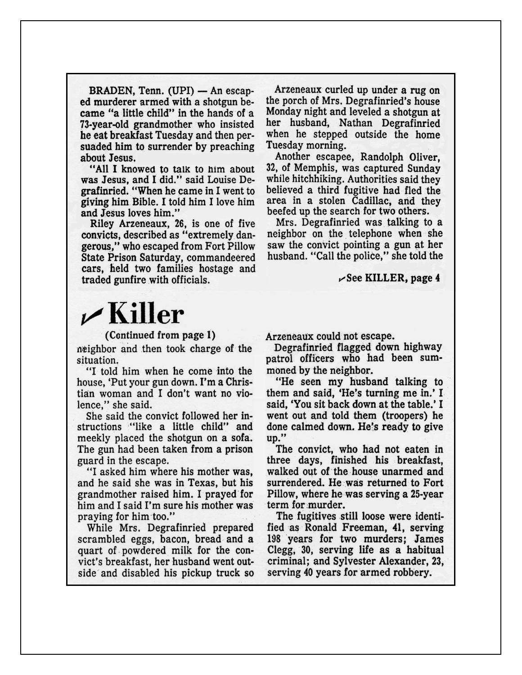BRADEN, Tenn. (UPI) — An escaped murderer armed with a shotgun became "a little child" in the hands of a 73-year-old grandmother who insisted he eat breakfast Tuesday and then persuaded him to surrender by preaching about Jesus.

"All I knowed to talk to him about was Jesus, and I did." said Louise Degrafinried. "When he came in I went to giving him Bible. I told him I love him and Jesus loves him."

Riley Arzeneaux, 26, is one of five convicts, described as "extremely dangerous," who escaped from Fort Pillow State Prison Saturday, commandeered cars, held two families hostage and traded gunfire with officials.

Arzeneaux curled up under a rug on the porch of Mrs. Degrafinried's house Monday night and leveled a shotgun at her husband, Nathan Degrafinried when he stepped outside the home Tuesday morning.

Another escapee, Randolph Oliver, 32, of Memphis, was captured Sunday while hitchhiking. Authorities said they believed a third fugitive had fled the area in a stolen Cadillac, and they beefed up the search for two others.

Mrs. Degrafinried was talking to a neighbor on the telephone when she saw the convict pointing a gun at her husband. "Call the police," she told the

 $\mathcal{L}$  See KILLER, page 4

# $\nu$ Killer

### (Continued from page 1)

neighbor and then took charge of the situation.

"I told him when he come into the house, 'Put your gun down. I'm a Christian woman and I don't want no violence," she said.

She said the convict followed her instructions "like a little child" and meekly placed the shotgun on a sofa. The gun had been taken from a prison guard in the escape.

"I asked him where his mother was, and he said she was in Texas, but his grandmother raised him. I prayed for him and I said I'm sure his mother was praying for him too."

While Mrs. Degrafinried prepared scrambled eggs, bacon, bread and a quart of powdered milk for the convict's breakfast, her husband went outside and disabled his pickup truck so

Arzeneaux could not escape.

Degrafinried flagged down highway patrol officers who had been summoned by the neighbor.

"He seen my husband talking to them and said, 'He's turning me in.' I said, 'You sit back down at the table.' I went out and told them (troopers) he done calmed down. He's ready to give up."

The convict, who had not eaten in three days, finished his breakfast, walked out of the house unarmed and surrendered. He was returned to Fort Pillow, where he was serving a 25-year term for murder.

The fugitives still loose were identified as Ronald Freeman, 41, serving 198 years for two murders; James Clegg, 30, serving life as a habitual criminal; and Sylvester Alexander, 23, serving 40 years for armed robbery.